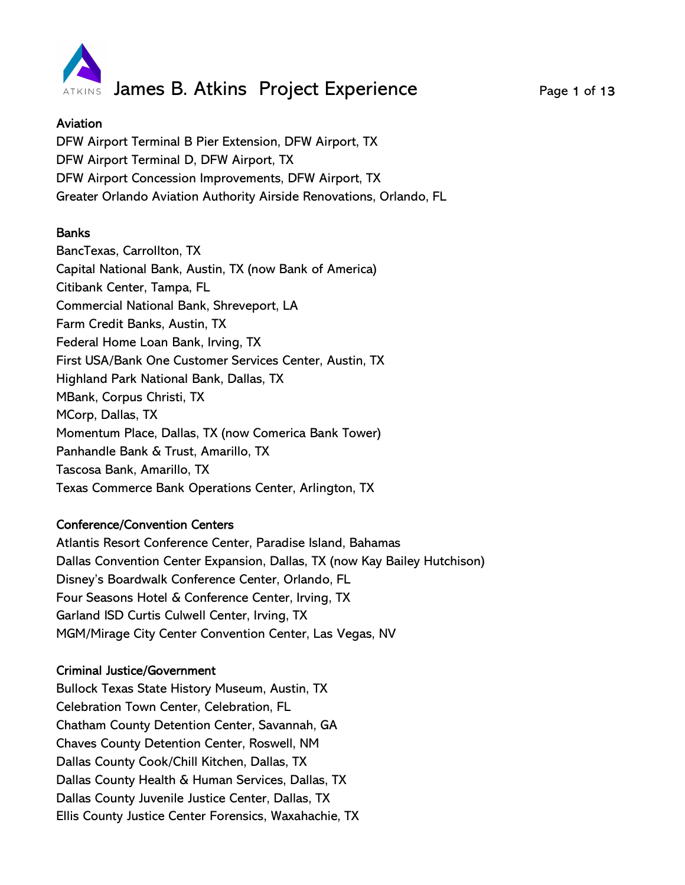

## Aviation

DFW Airport Terminal B Pier Extension, DFW Airport, TX DFW Airport Terminal D, DFW Airport, TX DFW Airport Concession Improvements, DFW Airport, TX Greater Orlando Aviation Authority Airside Renovations, Orlando, FL

# Banks

BancTexas, Carrollton, TX Capital National Bank, Austin, TX (now Bank of America) Citibank Center, Tampa, FL Commercial National Bank, Shreveport, LA Farm Credit Banks, Austin, TX Federal Home Loan Bank, Irving, TX First USA/Bank One Customer Services Center, Austin, TX Highland Park National Bank, Dallas, TX MBank, Corpus Christi, TX MCorp, Dallas, TX Momentum Place, Dallas, TX (now Comerica Bank Tower) Panhandle Bank & Trust, Amarillo, TX Tascosa Bank, Amarillo, TX Texas Commerce Bank Operations Center, Arlington, TX

## Conference/Convention Centers

Atlantis Resort Conference Center, Paradise Island, Bahamas Dallas Convention Center Expansion, Dallas, TX (now Kay Bailey Hutchison) Disney's Boardwalk Conference Center, Orlando, FL Four Seasons Hotel & Conference Center, Irving, TX Garland ISD Curtis Culwell Center, Irving, TX MGM/Mirage City Center Convention Center, Las Vegas, NV

## Criminal Justice/Government

Bullock Texas State History Museum, Austin, TX Celebration Town Center, Celebration, FL Chatham County Detention Center, Savannah, GA Chaves County Detention Center, Roswell, NM Dallas County Cook/Chill Kitchen, Dallas, TX Dallas County Health & Human Services, Dallas, TX Dallas County Juvenile Justice Center, Dallas, TX Ellis County Justice Center Forensics, Waxahachie, TX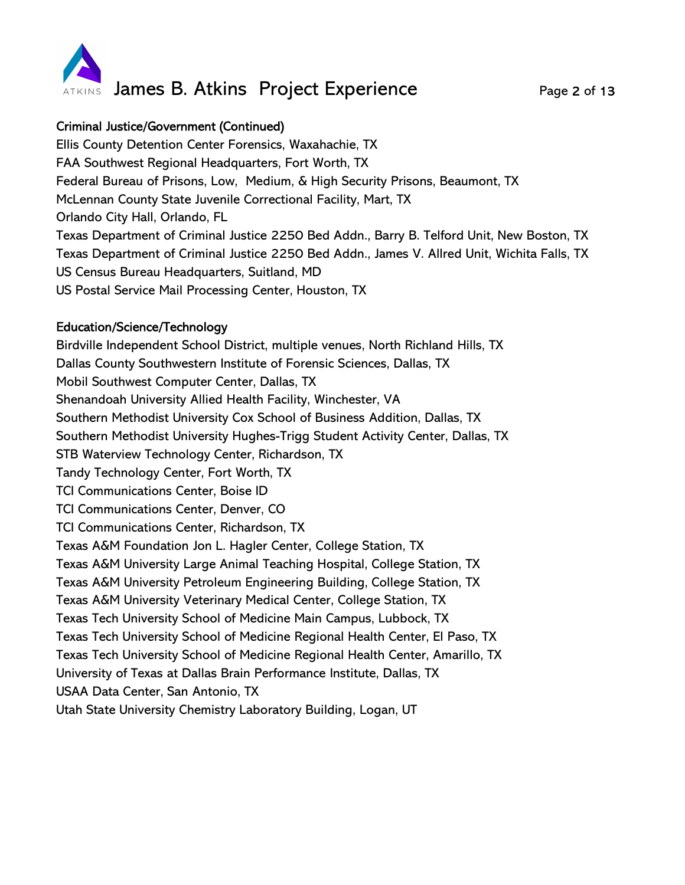

## Criminal Justice/Government (Continued)

Ellis County Detention Center Forensics, Waxahachie, TX FAA Southwest Regional Headquarters, Fort Worth, TX Federal Bureau of Prisons, Low, Medium, & High Security Prisons, Beaumont, TX McLennan County State Juvenile Correctional Facility, Mart, TX Orlando City Hall, Orlando, FL Texas Department of Criminal Justice 2250 Bed Addn., Barry B. Telford Unit, New Boston, TX Texas Department of Criminal Justice 2250 Bed Addn., James V. Allred Unit, Wichita Falls, TX US Census Bureau Headquarters, Suitland, MD US Postal Service Mail Processing Center, Houston, TX

#### Education/Science/Technology

Birdville Independent School District, multiple venues, North Richland Hills, TX Dallas County Southwestern Institute of Forensic Sciences, Dallas, TX Mobil Southwest Computer Center, Dallas, TX Shenandoah University Allied Health Facility, Winchester, VA Southern Methodist University Cox School of Business Addition, Dallas, TX Southern Methodist University Hughes-Trigg Student Activity Center, Dallas, TX STB Waterview Technology Center, Richardson, TX Tandy Technology Center, Fort Worth, TX TCI Communications Center, Boise ID TCI Communications Center, Denver, CO TCI Communications Center, Richardson, TX Texas A&M Foundation Jon L. Hagler Center, College Station, TX Texas A&M University Large Animal Teaching Hospital, College Station, TX Texas A&M University Petroleum Engineering Building, College Station, TX Texas A&M University Veterinary Medical Center, College Station, TX Texas Tech University School of Medicine Main Campus, Lubbock, TX Texas Tech University School of Medicine Regional Health Center, El Paso, TX Texas Tech University School of Medicine Regional Health Center, Amarillo, TX University of Texas at Dallas Brain Performance Institute, Dallas, TX USAA Data Center, San Antonio, TX Utah State University Chemistry Laboratory Building, Logan, UT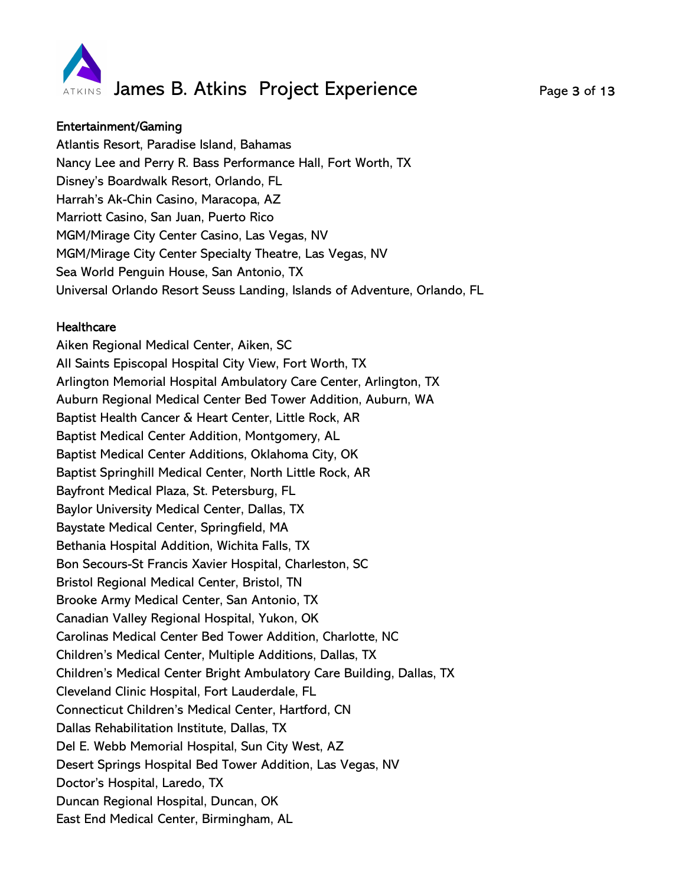

#### Entertainment/Gaming

Atlantis Resort, Paradise Island, Bahamas Nancy Lee and Perry R. Bass Performance Hall, Fort Worth, TX Disney's Boardwalk Resort, Orlando, FL Harrah's Ak-Chin Casino, Maracopa, AZ Marriott Casino, San Juan, Puerto Rico MGM/Mirage City Center Casino, Las Vegas, NV MGM/Mirage City Center Specialty Theatre, Las Vegas, NV Sea World Penguin House, San Antonio, TX Universal Orlando Resort Seuss Landing, Islands of Adventure, Orlando, FL

### **Healthcare**

Aiken Regional Medical Center, Aiken, SC All Saints Episcopal Hospital City View, Fort Worth, TX Arlington Memorial Hospital Ambulatory Care Center, Arlington, TX Auburn Regional Medical Center Bed Tower Addition, Auburn, WA Baptist Health Cancer & Heart Center, Little Rock, AR Baptist Medical Center Addition, Montgomery, AL Baptist Medical Center Additions, Oklahoma City, OK Baptist Springhill Medical Center, North Little Rock, AR Bayfront Medical Plaza, St. Petersburg, FL Baylor University Medical Center, Dallas, TX Baystate Medical Center, Springfield, MA Bethania Hospital Addition, Wichita Falls, TX Bon Secours-St Francis Xavier Hospital, Charleston, SC Bristol Regional Medical Center, Bristol, TN Brooke Army Medical Center, San Antonio, TX Canadian Valley Regional Hospital, Yukon, OK Carolinas Medical Center Bed Tower Addition, Charlotte, NC Children's Medical Center, Multiple Additions, Dallas, TX Children's Medical Center Bright Ambulatory Care Building, Dallas, TX Cleveland Clinic Hospital, Fort Lauderdale, FL Connecticut Children's Medical Center, Hartford, CN Dallas Rehabilitation Institute, Dallas, TX Del E. Webb Memorial Hospital, Sun City West, AZ Desert Springs Hospital Bed Tower Addition, Las Vegas, NV Doctor's Hospital, Laredo, TX Duncan Regional Hospital, Duncan, OK East End Medical Center, Birmingham, AL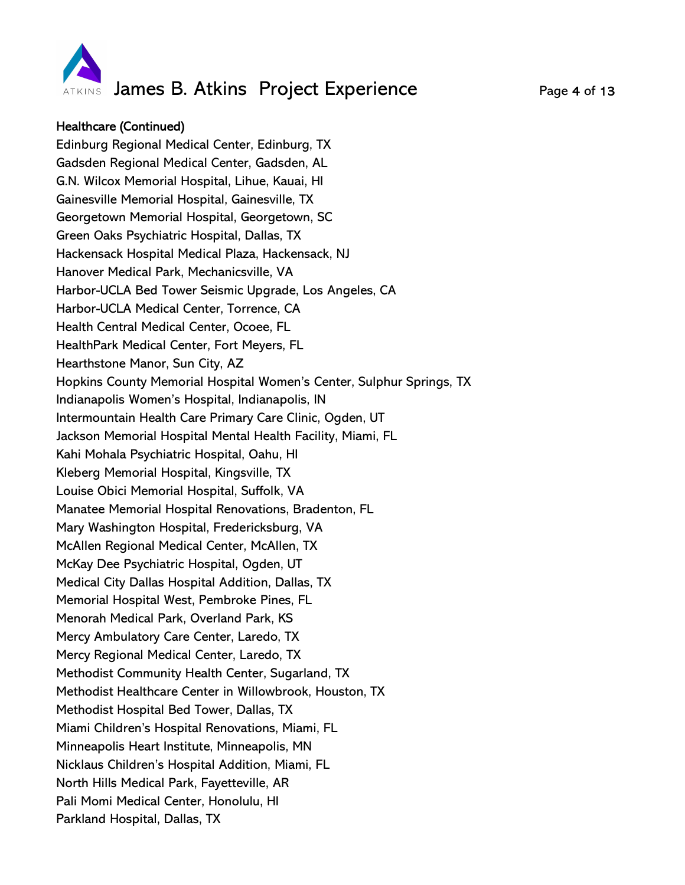

### Healthcare (Continued)

Edinburg Regional Medical Center, Edinburg, TX Gadsden Regional Medical Center, Gadsden, AL G.N. Wilcox Memorial Hospital, Lihue, Kauai, HI Gainesville Memorial Hospital, Gainesville, TX Georgetown Memorial Hospital, Georgetown, SC Green Oaks Psychiatric Hospital, Dallas, TX Hackensack Hospital Medical Plaza, Hackensack, NJ Hanover Medical Park, Mechanicsville, VA Harbor-UCLA Bed Tower Seismic Upgrade, Los Angeles, CA Harbor-UCLA Medical Center, Torrence, CA Health Central Medical Center, Ocoee, FL HealthPark Medical Center, Fort Meyers, FL Hearthstone Manor, Sun City, AZ Hopkins County Memorial Hospital Women's Center, Sulphur Springs, TX Indianapolis Women's Hospital, Indianapolis, IN Intermountain Health Care Primary Care Clinic, Ogden, UT Jackson Memorial Hospital Mental Health Facility, Miami, FL Kahi Mohala Psychiatric Hospital, Oahu, HI Kleberg Memorial Hospital, Kingsville, TX Louise Obici Memorial Hospital, Suffolk, VA Manatee Memorial Hospital Renovations, Bradenton, FL Mary Washington Hospital, Fredericksburg, VA McAllen Regional Medical Center, McAllen, TX McKay Dee Psychiatric Hospital, Ogden, UT Medical City Dallas Hospital Addition, Dallas, TX Memorial Hospital West, Pembroke Pines, FL Menorah Medical Park, Overland Park, KS Mercy Ambulatory Care Center, Laredo, TX Mercy Regional Medical Center, Laredo, TX Methodist Community Health Center, Sugarland, TX Methodist Healthcare Center in Willowbrook, Houston, TX Methodist Hospital Bed Tower, Dallas, TX Miami Children's Hospital Renovations, Miami, FL Minneapolis Heart Institute, Minneapolis, MN Nicklaus Children's Hospital Addition, Miami, FL North Hills Medical Park, Fayetteville, AR Pali Momi Medical Center, Honolulu, HI Parkland Hospital, Dallas, TX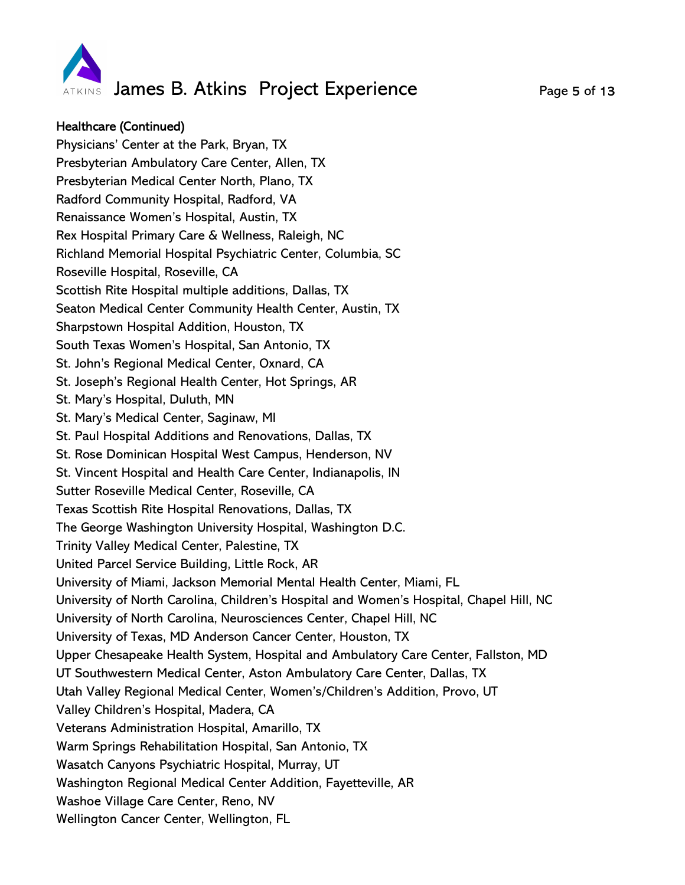

## Healthcare (Continued)

Physicians' Center at the Park, Bryan, TX Presbyterian Ambulatory Care Center, Allen, TX Presbyterian Medical Center North, Plano, TX Radford Community Hospital, Radford, VA Renaissance Women's Hospital, Austin, TX Rex Hospital Primary Care & Wellness, Raleigh, NC Richland Memorial Hospital Psychiatric Center, Columbia, SC Roseville Hospital, Roseville, CA Scottish Rite Hospital multiple additions, Dallas, TX Seaton Medical Center Community Health Center, Austin, TX Sharpstown Hospital Addition, Houston, TX South Texas Women's Hospital, San Antonio, TX St. John's Regional Medical Center, Oxnard, CA St. Joseph's Regional Health Center, Hot Springs, AR St. Mary's Hospital, Duluth, MN St. Mary's Medical Center, Saginaw, MI St. Paul Hospital Additions and Renovations, Dallas, TX St. Rose Dominican Hospital West Campus, Henderson, NV St. Vincent Hospital and Health Care Center, Indianapolis, IN Sutter Roseville Medical Center, Roseville, CA Texas Scottish Rite Hospital Renovations, Dallas, TX The George Washington University Hospital, Washington D.C. Trinity Valley Medical Center, Palestine, TX United Parcel Service Building, Little Rock, AR University of Miami, Jackson Memorial Mental Health Center, Miami, FL University of North Carolina, Children's Hospital and Women's Hospital, Chapel Hill, NC University of North Carolina, Neurosciences Center, Chapel Hill, NC University of Texas, MD Anderson Cancer Center, Houston, TX Upper Chesapeake Health System, Hospital and Ambulatory Care Center, Fallston, MD UT Southwestern Medical Center, Aston Ambulatory Care Center, Dallas, TX Utah Valley Regional Medical Center, Women's/Children's Addition, Provo, UT Valley Children's Hospital, Madera, CA Veterans Administration Hospital, Amarillo, TX Warm Springs Rehabilitation Hospital, San Antonio, TX Wasatch Canyons Psychiatric Hospital, Murray, UT Washington Regional Medical Center Addition, Fayetteville, AR Washoe Village Care Center, Reno, NV Wellington Cancer Center, Wellington, FL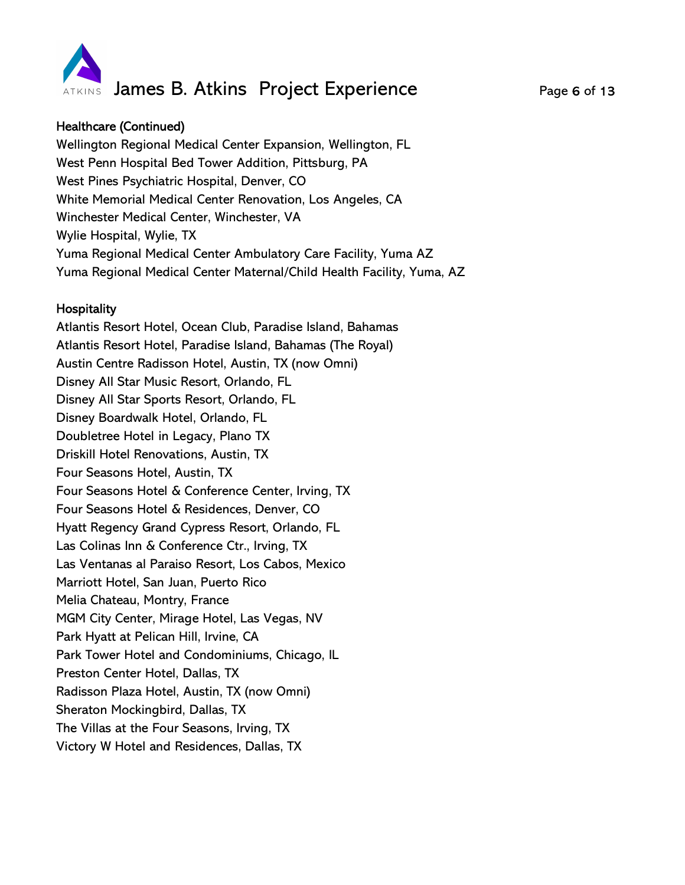

## Healthcare (Continued)

Wellington Regional Medical Center Expansion, Wellington, FL West Penn Hospital Bed Tower Addition, Pittsburg, PA West Pines Psychiatric Hospital, Denver, CO White Memorial Medical Center Renovation, Los Angeles, CA Winchester Medical Center, Winchester, VA Wylie Hospital, Wylie, TX Yuma Regional Medical Center Ambulatory Care Facility, Yuma AZ Yuma Regional Medical Center Maternal/Child Health Facility, Yuma, AZ

#### **Hospitality**

Atlantis Resort Hotel, Ocean Club, Paradise Island, Bahamas Atlantis Resort Hotel, Paradise Island, Bahamas (The Royal) Austin Centre Radisson Hotel, Austin, TX (now Omni) Disney All Star Music Resort, Orlando, FL Disney All Star Sports Resort, Orlando, FL Disney Boardwalk Hotel, Orlando, FL Doubletree Hotel in Legacy, Plano TX Driskill Hotel Renovations, Austin, TX Four Seasons Hotel, Austin, TX Four Seasons Hotel & Conference Center, Irving, TX Four Seasons Hotel & Residences, Denver, CO Hyatt Regency Grand Cypress Resort, Orlando, FL Las Colinas Inn & Conference Ctr., Irving, TX Las Ventanas al Paraiso Resort, Los Cabos, Mexico Marriott Hotel, San Juan, Puerto Rico Melia Chateau, Montry, France MGM City Center, Mirage Hotel, Las Vegas, NV Park Hyatt at Pelican Hill, Irvine, CA Park Tower Hotel and Condominiums, Chicago, IL Preston Center Hotel, Dallas, TX Radisson Plaza Hotel, Austin, TX (now Omni) Sheraton Mockingbird, Dallas, TX The Villas at the Four Seasons, Irving, TX Victory W Hotel and Residences, Dallas, TX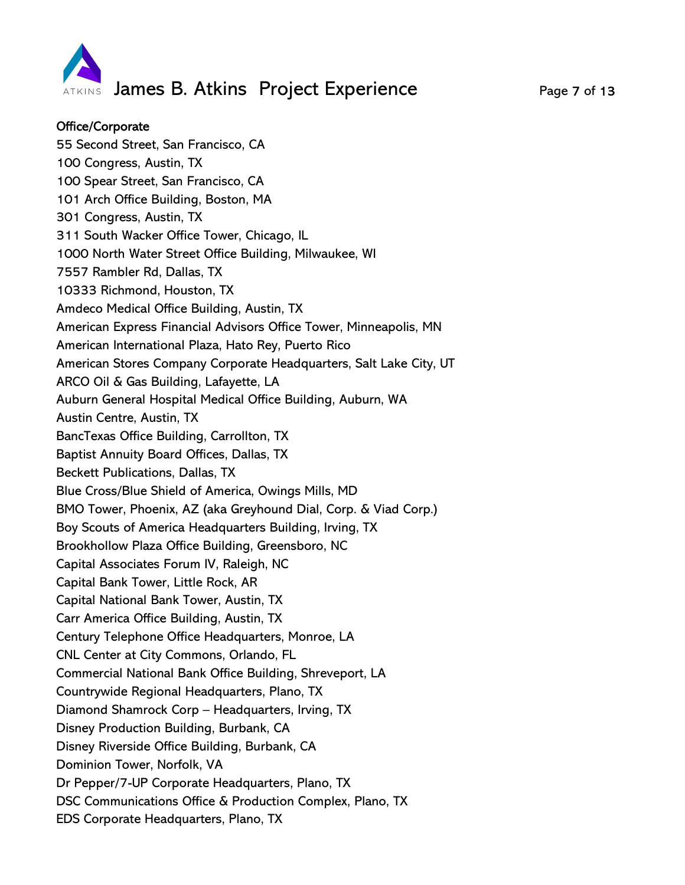

### Office/Corporate

55 Second Street, San Francisco, CA 100 Congress, Austin, TX 100 Spear Street, San Francisco, CA 101 Arch Office Building, Boston, MA 301 Congress, Austin, TX 311 South Wacker Office Tower, Chicago, IL 1000 North Water Street Office Building, Milwaukee, WI 7557 Rambler Rd, Dallas, TX 10333 Richmond, Houston, TX Amdeco Medical Office Building, Austin, TX American Express Financial Advisors Office Tower, Minneapolis, MN American International Plaza, Hato Rey, Puerto Rico American Stores Company Corporate Headquarters, Salt Lake City, UT ARCO Oil & Gas Building, Lafayette, LA Auburn General Hospital Medical Office Building, Auburn, WA Austin Centre, Austin, TX BancTexas Office Building, Carrollton, TX Baptist Annuity Board Offices, Dallas, TX Beckett Publications, Dallas, TX Blue Cross/Blue Shield of America, Owings Mills, MD BMO Tower, Phoenix, AZ (aka Greyhound Dial, Corp. & Viad Corp.) Boy Scouts of America Headquarters Building, Irving, TX Brookhollow Plaza Office Building, Greensboro, NC Capital Associates Forum IV, Raleigh, NC Capital Bank Tower, Little Rock, AR Capital National Bank Tower, Austin, TX Carr America Office Building, Austin, TX Century Telephone Office Headquarters, Monroe, LA CNL Center at City Commons, Orlando, FL Commercial National Bank Office Building, Shreveport, LA Countrywide Regional Headquarters, Plano, TX Diamond Shamrock Corp – Headquarters, Irving, TX Disney Production Building, Burbank, CA Disney Riverside Office Building, Burbank, CA Dominion Tower, Norfolk, VA Dr Pepper/7-UP Corporate Headquarters, Plano, TX DSC Communications Office & Production Complex, Plano, TX EDS Corporate Headquarters, Plano, TX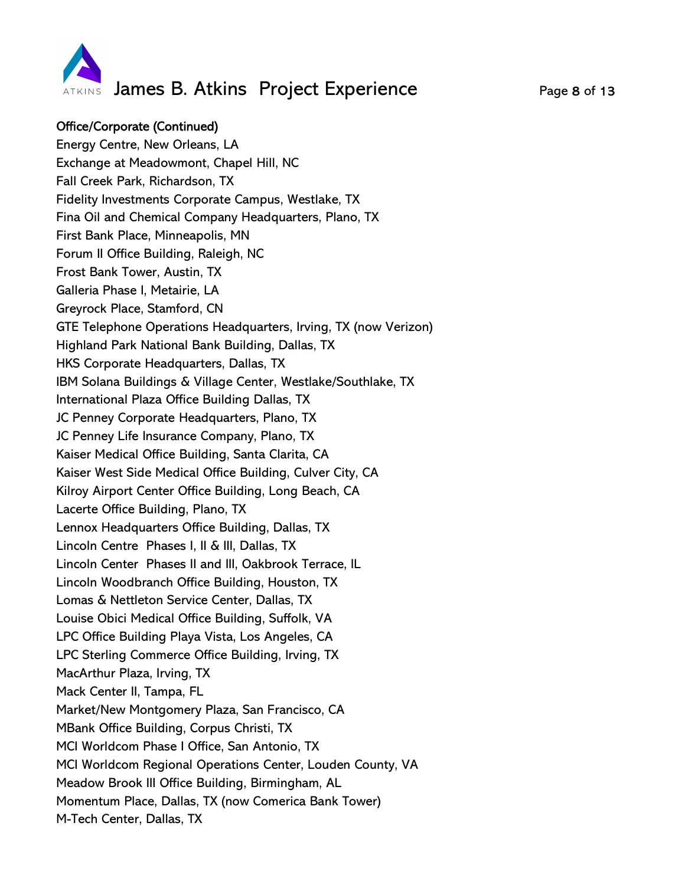

# Office/Corporate (Continued)

Energy Centre, New Orleans, LA Exchange at Meadowmont, Chapel Hill, NC Fall Creek Park, Richardson, TX Fidelity Investments Corporate Campus, Westlake, TX Fina Oil and Chemical Company Headquarters, Plano, TX First Bank Place, Minneapolis, MN Forum II Office Building, Raleigh, NC Frost Bank Tower, Austin, TX Galleria Phase I, Metairie, LA Greyrock Place, Stamford, CN GTE Telephone Operations Headquarters, Irving, TX (now Verizon) Highland Park National Bank Building, Dallas, TX HKS Corporate Headquarters, Dallas, TX IBM Solana Buildings & Village Center, Westlake/Southlake, TX International Plaza Office Building Dallas, TX JC Penney Corporate Headquarters, Plano, TX JC Penney Life Insurance Company, Plano, TX Kaiser Medical Office Building, Santa Clarita, CA Kaiser West Side Medical Office Building, Culver City, CA Kilroy Airport Center Office Building, Long Beach, CA Lacerte Office Building, Plano, TX Lennox Headquarters Office Building, Dallas, TX Lincoln Centre Phases I, II & III, Dallas, TX Lincoln Center Phases II and III, Oakbrook Terrace, IL Lincoln Woodbranch Office Building, Houston, TX Lomas & Nettleton Service Center, Dallas, TX Louise Obici Medical Office Building, Suffolk, VA LPC Office Building Playa Vista, Los Angeles, CA LPC Sterling Commerce Office Building, Irving, TX MacArthur Plaza, Irving, TX Mack Center II, Tampa, FL Market/New Montgomery Plaza, San Francisco, CA MBank Office Building, Corpus Christi, TX MCI Worldcom Phase I Office, San Antonio, TX MCI Worldcom Regional Operations Center, Louden County, VA Meadow Brook III Office Building, Birmingham, AL Momentum Place, Dallas, TX (now Comerica Bank Tower) M-Tech Center, Dallas, TX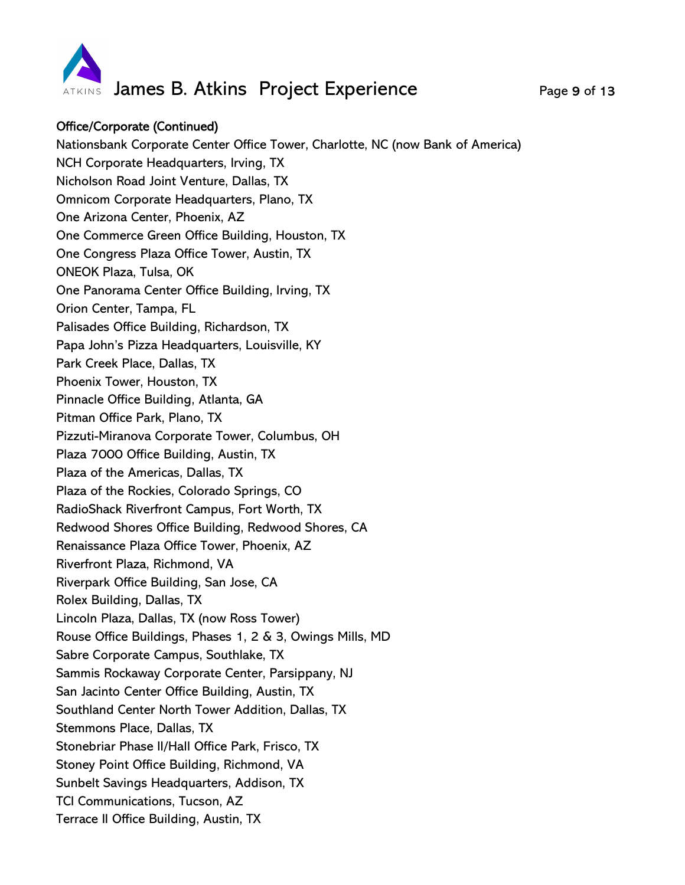

# Office/Corporate (Continued)

Nationsbank Corporate Center Office Tower, Charlotte, NC (now Bank of America) NCH Corporate Headquarters, Irving, TX Nicholson Road Joint Venture, Dallas, TX Omnicom Corporate Headquarters, Plano, TX One Arizona Center, Phoenix, AZ One Commerce Green Office Building, Houston, TX One Congress Plaza Office Tower, Austin, TX ONEOK Plaza, Tulsa, OK One Panorama Center Office Building, Irving, TX Orion Center, Tampa, FL Palisades Office Building, Richardson, TX Papa John's Pizza Headquarters, Louisville, KY Park Creek Place, Dallas, TX Phoenix Tower, Houston, TX Pinnacle Office Building, Atlanta, GA Pitman Office Park, Plano, TX Pizzuti-Miranova Corporate Tower, Columbus, OH Plaza 7000 Office Building, Austin, TX Plaza of the Americas, Dallas, TX Plaza of the Rockies, Colorado Springs, CO RadioShack Riverfront Campus, Fort Worth, TX Redwood Shores Office Building, Redwood Shores, CA Renaissance Plaza Office Tower, Phoenix, AZ Riverfront Plaza, Richmond, VA Riverpark Office Building, San Jose, CA Rolex Building, Dallas, TX Lincoln Plaza, Dallas, TX (now Ross Tower) Rouse Office Buildings, Phases 1, 2 & 3, Owings Mills, MD Sabre Corporate Campus, Southlake, TX Sammis Rockaway Corporate Center, Parsippany, NJ San Jacinto Center Office Building, Austin, TX Southland Center North Tower Addition, Dallas, TX Stemmons Place, Dallas, TX Stonebriar Phase II/Hall Office Park, Frisco, TX Stoney Point Office Building, Richmond, VA Sunbelt Savings Headquarters, Addison, TX TCI Communications, Tucson, AZ Terrace II Office Building, Austin, TX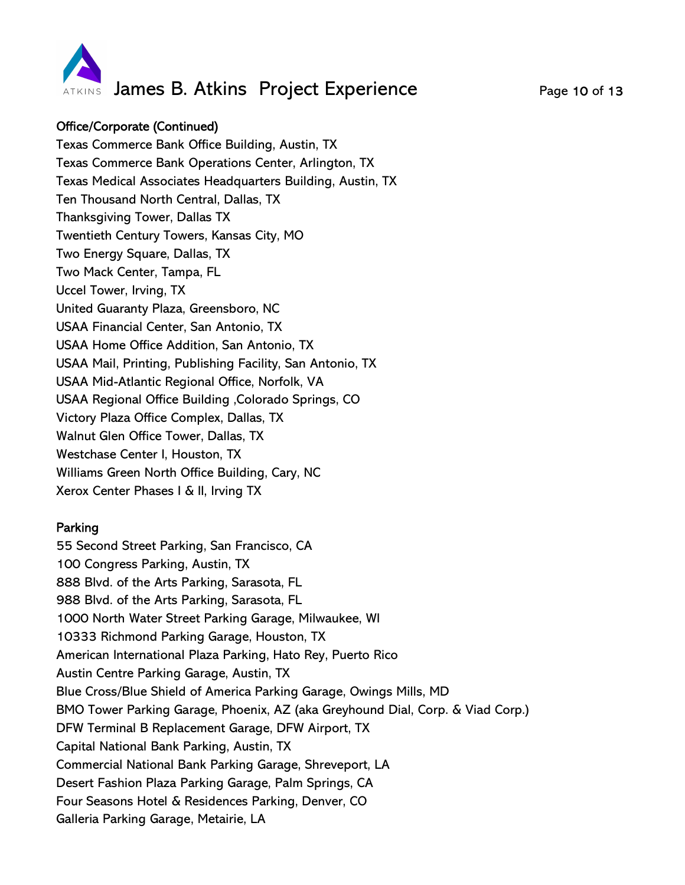

# Office/Corporate (Continued)

Texas Commerce Bank Office Building, Austin, TX Texas Commerce Bank Operations Center, Arlington, TX Texas Medical Associates Headquarters Building, Austin, TX Ten Thousand North Central, Dallas, TX Thanksgiving Tower, Dallas TX Twentieth Century Towers, Kansas City, MO Two Energy Square, Dallas, TX Two Mack Center, Tampa, FL Uccel Tower, Irving, TX United Guaranty Plaza, Greensboro, NC USAA Financial Center, San Antonio, TX USAA Home Office Addition, San Antonio, TX USAA Mail, Printing, Publishing Facility, San Antonio, TX USAA Mid-Atlantic Regional Office, Norfolk, VA USAA Regional Office Building ,Colorado Springs, CO Victory Plaza Office Complex, Dallas, TX Walnut Glen Office Tower, Dallas, TX Westchase Center I, Houston, TX Williams Green North Office Building, Cary, NC Xerox Center Phases I & II, Irving TX

## Parking

55 Second Street Parking, San Francisco, CA 100 Congress Parking, Austin, TX 888 Blvd. of the Arts Parking, Sarasota, FL 988 Blvd. of the Arts Parking, Sarasota, FL 1000 North Water Street Parking Garage, Milwaukee, WI 10333 Richmond Parking Garage, Houston, TX American International Plaza Parking, Hato Rey, Puerto Rico Austin Centre Parking Garage, Austin, TX Blue Cross/Blue Shield of America Parking Garage, Owings Mills, MD BMO Tower Parking Garage, Phoenix, AZ (aka Greyhound Dial, Corp. & Viad Corp.) DFW Terminal B Replacement Garage, DFW Airport, TX Capital National Bank Parking, Austin, TX Commercial National Bank Parking Garage, Shreveport, LA Desert Fashion Plaza Parking Garage, Palm Springs, CA Four Seasons Hotel & Residences Parking, Denver, CO Galleria Parking Garage, Metairie, LA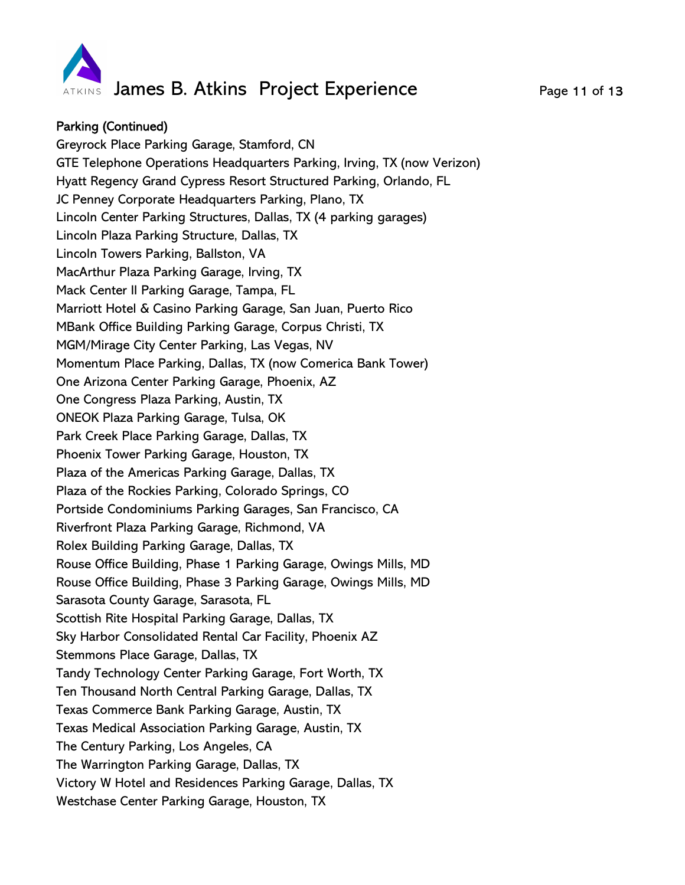

## Parking (Continued)

Greyrock Place Parking Garage, Stamford, CN GTE Telephone Operations Headquarters Parking, Irving, TX (now Verizon) Hyatt Regency Grand Cypress Resort Structured Parking, Orlando, FL JC Penney Corporate Headquarters Parking, Plano, TX Lincoln Center Parking Structures, Dallas, TX (4 parking garages) Lincoln Plaza Parking Structure, Dallas, TX Lincoln Towers Parking, Ballston, VA MacArthur Plaza Parking Garage, Irving, TX Mack Center II Parking Garage, Tampa, FL Marriott Hotel & Casino Parking Garage, San Juan, Puerto Rico MBank Office Building Parking Garage, Corpus Christi, TX MGM/Mirage City Center Parking, Las Vegas, NV Momentum Place Parking, Dallas, TX (now Comerica Bank Tower) One Arizona Center Parking Garage, Phoenix, AZ One Congress Plaza Parking, Austin, TX ONEOK Plaza Parking Garage, Tulsa, OK Park Creek Place Parking Garage, Dallas, TX Phoenix Tower Parking Garage, Houston, TX Plaza of the Americas Parking Garage, Dallas, TX Plaza of the Rockies Parking, Colorado Springs, CO Portside Condominiums Parking Garages, San Francisco, CA Riverfront Plaza Parking Garage, Richmond, VA Rolex Building Parking Garage, Dallas, TX Rouse Office Building, Phase 1 Parking Garage, Owings Mills, MD Rouse Office Building, Phase 3 Parking Garage, Owings Mills, MD Sarasota County Garage, Sarasota, FL Scottish Rite Hospital Parking Garage, Dallas, TX Sky Harbor Consolidated Rental Car Facility, Phoenix AZ Stemmons Place Garage, Dallas, TX Tandy Technology Center Parking Garage, Fort Worth, TX Ten Thousand North Central Parking Garage, Dallas, TX Texas Commerce Bank Parking Garage, Austin, TX Texas Medical Association Parking Garage, Austin, TX The Century Parking, Los Angeles, CA The Warrington Parking Garage, Dallas, TX Victory W Hotel and Residences Parking Garage, Dallas, TX Westchase Center Parking Garage, Houston, TX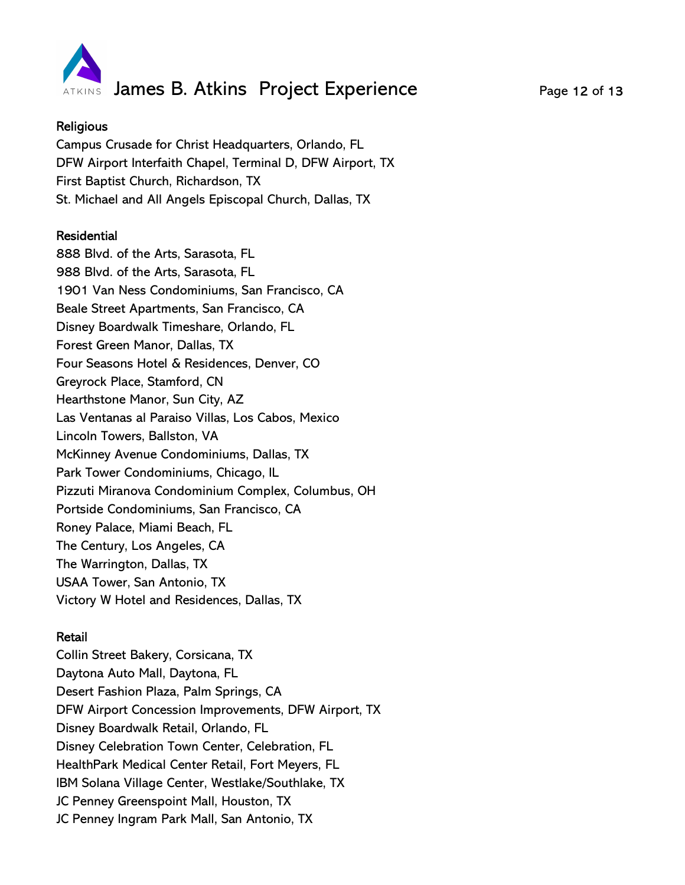

### **Religious**

Campus Crusade for Christ Headquarters, Orlando, FL DFW Airport Interfaith Chapel, Terminal D, DFW Airport, TX First Baptist Church, Richardson, TX St. Michael and All Angels Episcopal Church, Dallas, TX

## Residential

888 Blvd. of the Arts, Sarasota, FL 988 Blvd. of the Arts, Sarasota, FL 1901 Van Ness Condominiums, San Francisco, CA Beale Street Apartments, San Francisco, CA Disney Boardwalk Timeshare, Orlando, FL Forest Green Manor, Dallas, TX Four Seasons Hotel & Residences, Denver, CO Greyrock Place, Stamford, CN Hearthstone Manor, Sun City, AZ Las Ventanas al Paraiso Villas, Los Cabos, Mexico Lincoln Towers, Ballston, VA McKinney Avenue Condominiums, Dallas, TX Park Tower Condominiums, Chicago, IL Pizzuti Miranova Condominium Complex, Columbus, OH Portside Condominiums, San Francisco, CA Roney Palace, Miami Beach, FL The Century, Los Angeles, CA The Warrington, Dallas, TX USAA Tower, San Antonio, TX Victory W Hotel and Residences, Dallas, TX

#### Retail

Collin Street Bakery, Corsicana, TX Daytona Auto Mall, Daytona, FL Desert Fashion Plaza, Palm Springs, CA DFW Airport Concession Improvements, DFW Airport, TX Disney Boardwalk Retail, Orlando, FL Disney Celebration Town Center, Celebration, FL HealthPark Medical Center Retail, Fort Meyers, FL IBM Solana Village Center, Westlake/Southlake, TX JC Penney Greenspoint Mall, Houston, TX JC Penney Ingram Park Mall, San Antonio, TX